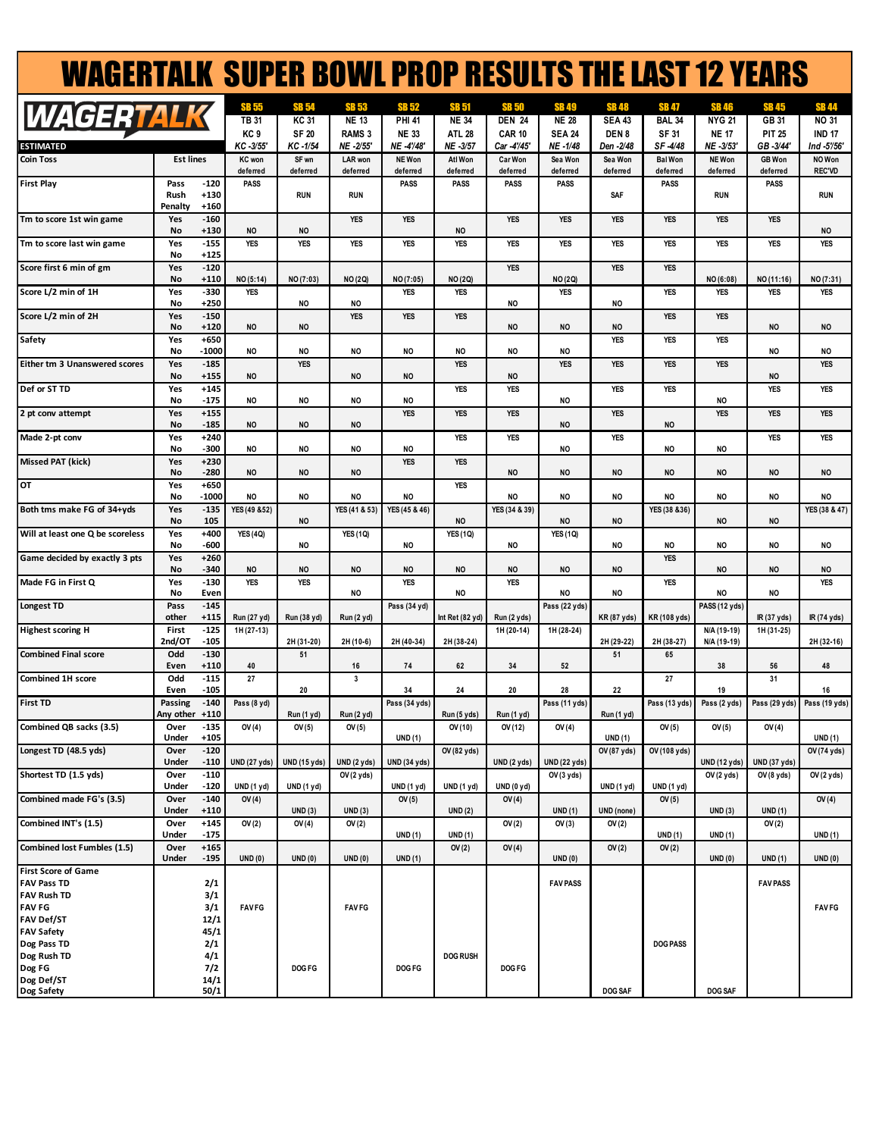| <b>WAGERTALK SUPER BOWL PROP RESULTS THE LAST 12 YEARS</b> |                        |                            |                            |                          |                         |                               |                              |                              |                              |                                |                         |                            |                                          |                              |
|------------------------------------------------------------|------------------------|----------------------------|----------------------------|--------------------------|-------------------------|-------------------------------|------------------------------|------------------------------|------------------------------|--------------------------------|-------------------------|----------------------------|------------------------------------------|------------------------------|
|                                                            |                        |                            | SB 55                      | <b>SB 54</b>             | <b>SB 53</b>            | <b>SB 52</b>                  | <b>SB 51</b>                 | SB 50                        | <b>SB49</b>                  | <b>SB48</b>                    | <b>SB 47</b>            | <b>SB 46</b>               | <b>SB 45</b>                             | <b>SB44</b>                  |
| <b>WAGERTALK</b>                                           |                        |                            | <b>TB 31</b>               | <b>KC 31</b>             | <b>NE 13</b>            | <b>PHI 41</b>                 | <b>NE 34</b>                 | <b>DEN 24</b>                | <b>NE 28</b>                 | <b>SEA 43</b>                  | <b>BAL 34</b>           | <b>NYG 21</b>              | GB 31                                    | <b>NO 31</b>                 |
| ESTIMATED                                                  |                        |                            | KC <sub>9</sub><br>KC-3/55 | <b>SF 20</b><br>KC -1/54 | RAMS 3<br>NE -2/55'     | <b>NE 33</b><br>NE -4748      | <b>ATL 28</b><br>NE -3/57    | <b>CAR 10</b><br>Car -4'/45' | <b>SEA 24</b><br>NE -1/48    | DEN <sub>8</sub><br>Den - 2/48 | SF 31<br>SF-4/48        | <b>NE 17</b><br>NE -3/53'  | <b>PIT 25</b><br>GB-3/44'                | <b>IND 17</b><br>Ind -5756'  |
| <b>Coin Toss</b>                                           | <b>Est lines</b>       |                            | <b>KC</b> won              | SF wn                    | LAR won                 | NE Won                        | Atl Won                      | <b>Car Won</b>               | Sea Won                      | Sea Won                        | <b>Bal Won</b>          | NE Won                     | <b>GB</b> Won                            | NO Won                       |
| <b>First Play</b>                                          | Pass                   | $-120$                     | deferred<br><b>PASS</b>    | deferred                 | deferred                | deferred<br><b>PASS</b>       | deferred<br>PASS             | deferred<br><b>PASS</b>      | deferred<br>PASS             | deferred                       | deferred<br><b>PASS</b> | deferred                   | deferred<br>PASS                         | <b>REC'VD</b>                |
|                                                            | Rush<br>Penalty        | $+130$<br>$+160$           |                            | <b>RUN</b>               | RUN                     |                               |                              |                              |                              | SAF                            |                         | <b>RUN</b>                 |                                          | <b>RUN</b>                   |
| Tm to score 1st win game                                   | Yes<br>No              | $-160$<br>$+130$           | <b>NO</b>                  | <b>NO</b>                | <b>YES</b>              | <b>YES</b>                    | <b>NO</b>                    | <b>YES</b>                   | <b>YES</b>                   | <b>YES</b>                     | <b>YES</b>              | <b>YES</b>                 | <b>YES</b>                               | <b>NO</b>                    |
| Tm to score last win game                                  | Yes<br>No              | $-155$<br>$+125$           | <b>YES</b>                 | <b>YES</b>               | <b>YES</b>              | <b>YES</b>                    | <b>YES</b>                   | <b>YES</b>                   | <b>YES</b>                   | <b>YES</b>                     | <b>YES</b>              | <b>YES</b>                 | <b>YES</b>                               | <b>YES</b>                   |
| Score first 6 min of gm                                    | Yes<br>No              | $-120$<br>$+110$           | NO (5:14)                  | NO (7:03)                | <b>NO (2Q)</b>          | NO (7:05)                     | <b>NO (2Q)</b>               | <b>YES</b>                   | <b>NO(2Q)</b>                | <b>YES</b>                     | <b>YES</b>              | NO (6:08)                  | NO(11:16)                                | NO (7:31)                    |
| Score L/2 min of 1H                                        | Yes                    | $-330$                     | <b>YES</b>                 |                          |                         | <b>YES</b>                    | <b>YES</b>                   |                              | <b>YES</b>                   |                                | <b>YES</b>              | <b>YES</b>                 | <b>YES</b>                               | <b>YES</b>                   |
| Score L/2 min of 2H                                        | No<br>Yes<br>No        | $+250$<br>$-150$<br>$+120$ | <b>NO</b>                  | <b>NO</b><br><b>NO</b>   | <b>NO</b><br><b>YES</b> | <b>YES</b>                    | <b>YES</b>                   | NO<br><b>NO</b>              | <b>NO</b>                    | NO<br><b>NO</b>                | <b>YES</b>              | <b>YES</b>                 | <b>NO</b>                                | <b>NO</b>                    |
| Safety                                                     | Yes                    | $+650$                     |                            |                          |                         |                               |                              |                              |                              | <b>YES</b>                     | <b>YES</b>              | <b>YES</b>                 |                                          |                              |
| Either tm 3 Unanswered scores                              | No<br>Yes              | $-1000$<br>$-185$          | <b>NO</b>                  | <b>NO</b><br><b>YES</b>  | <b>NO</b>               | NO                            | <b>NO</b><br><b>YES</b>      | <b>NO</b>                    | NO<br><b>YES</b>             | <b>YES</b>                     | <b>YES</b>              | <b>YES</b>                 | NO                                       | <b>NO</b><br><b>YES</b>      |
| Def or ST TD                                               | No<br>Yes              | $+155$<br>$+145$           | <b>NO</b>                  |                          | <b>NO</b>               | NO                            | <b>YES</b>                   | <b>NO</b><br><b>YES</b>      |                              | <b>YES</b>                     | YES                     |                            | NO<br><b>YES</b>                         | YES                          |
|                                                            | No                     | $-175$                     | NO                         | <b>NO</b>                | <b>NO</b>               | <b>NO</b>                     |                              |                              | <b>NO</b>                    |                                |                         | NO.                        |                                          |                              |
| 2 pt conv attempt                                          | Yes<br>No              | $+155$<br>$-185$<br>$+240$ | <b>NO</b>                  | <b>NO</b>                | <b>NO</b>               | <b>YES</b>                    | <b>YES</b><br><b>YES</b>     | <b>YES</b>                   | <b>NO</b>                    | <b>YES</b><br><b>YES</b>       | <b>NO</b>               | <b>YES</b>                 | <b>YES</b><br><b>YES</b>                 | <b>YES</b>                   |
| Made 2-pt conv                                             | Yes<br>No              | $-300$                     | <b>NO</b>                  | <b>NO</b>                | <b>NO</b>               | <b>NO</b>                     |                              | <b>YES</b>                   | <b>NO</b>                    |                                | <b>NO</b>               | NO                         |                                          | <b>YES</b>                   |
| <b>Missed PAT (kick)</b>                                   | Yes<br>No              | $+230$<br>$-280$           | <b>NO</b>                  | <b>NO</b>                | <b>NO</b>               | <b>YES</b>                    | <b>YES</b>                   | <b>NO</b>                    | <b>NO</b>                    | <b>NO</b>                      | <b>NO</b>               | <b>NO</b>                  | <b>NO</b>                                | <b>NO</b>                    |
| OT                                                         | Yes<br>No              | $+650$<br>-1000            | NO                         | <b>NO</b>                | <b>NO</b>               | <b>NO</b>                     | <b>YES</b>                   | <b>NO</b>                    | NO                           | NO                             | <b>NO</b>               | NO                         | NO                                       | NO                           |
| Both tms make FG of 34+yds                                 | Yes                    | $-135$                     | YES (49 & 52)              |                          | YES (41 & 53)           | YES (45 & 46)                 |                              | YES (34 & 39)                |                              |                                | YES (38 & 36)           |                            |                                          | YES (38 & 47)                |
| Will at least one Q be scoreless                           | No<br>Yes              | 105<br>$+400$              | <b>YES (4Q)</b>            | <b>NO</b>                | <b>YES (10)</b>         |                               | <b>NO</b><br><b>YES (1Q)</b> |                              | <b>NO</b><br><b>YES (1Q)</b> | NO                             |                         | <b>NO</b>                  | <b>NO</b>                                |                              |
| Game decided by exactly 3 pts                              | No<br>Yes              | -600<br>$+260$             |                            | <b>NO</b>                |                         | <b>NO</b>                     |                              | <b>NO</b>                    |                              | <b>NO</b>                      | <b>NO</b><br><b>YES</b> | <b>NO</b>                  | NO.                                      | NO                           |
| Made FG in First Q                                         | No<br>Yes              | $-340$<br>$-130$           | <b>NO</b><br><b>YES</b>    | <b>NO</b><br><b>YES</b>  | <b>NO</b>               | <b>NO</b><br><b>YES</b>       | <b>NO</b>                    | <b>NO</b><br><b>YES</b>      | <b>NO</b>                    | <b>NO</b>                      | <b>YES</b>              | <b>NO</b>                  | <b>NO</b>                                | <b>NO</b><br><b>YES</b>      |
| <b>Longest TD</b>                                          | No<br>Pass             | Even<br>$-145$             |                            |                          | <b>NO</b>               |                               | <b>NO</b>                    |                              | NO                           | <b>NO</b>                      |                         | <b>NO</b>                  | NO.                                      |                              |
|                                                            | other                  | $+115$                     | Run (27 yd)                | Run (38 yd)              | <b>Run (2 yd)</b>       | Pass (34 yd)                  | Int Ret (82 yd)              | Run (2 yds)                  | Pass (22 yds)                | <b>KR</b> (87 yds)             | KR (108 vds)            | PASS (12 yds)              | IR (37 yds)                              | IR (74 yds)                  |
| <b>Highest scoring H</b>                                   | First<br>2nd/OT        | $-125$<br>$-105$           | 1H (27-13)                 | 2H (31-20)               | 2H (10-6)               | 2H (40-34)                    | 2H (38-24)                   | 1H (20-14)                   | 1H (28-24)                   | 2H (29-22)                     | 2H (38-27)              | N/A (19-19)<br>N/A (19-19) | 1H (31-25)                               | 2H (32-16)                   |
| <b>Combined Final score</b>                                | Odd<br>Even            | $-130$<br>$+110$           | 40                         | 51                       | 16                      | 74                            | 62                           | 34                           | 52                           | 51                             | 65                      | 38                         | 56                                       | 48                           |
| <b>Combined 1H score</b>                                   | Odd<br>Even            | $-115$<br>$-105$           | 27                         | 20                       | 3                       | 34                            | 24                           | 20                           | 28                           | 22                             | 27                      | 19                         | 31                                       | 16                           |
| <b>First TD</b>                                            | Passing<br>Any other   | $-140$<br>$+110$           | Pass (8 yd)                | <b>Run</b> (1 yd)        | <b>Run (2 yd)</b>       | Pass (34 yds)                 | Run (5 yds)                  | Run (1 yd)                   | Pass (11 yds)                | <b>Run (1 yd)</b>              | Pass (13 yds)           |                            | Pass (2 yds) Pass (29 yds) Pass (19 yds) |                              |
| Combined QB sacks (3.5)                                    | Over                   | $-135$                     | OV(4)                      | OV(5)                    | OV(5)                   |                               | OV (10)                      | OV (12)                      | OV(4)                        |                                | OV(5)                   | OV(5)                      | OV(4)                                    |                              |
| Longest TD (48.5 yds)                                      | Under<br>Over<br>Under | $+105$<br>$-120$<br>$-110$ | <b>UND (27 yds)</b>        | <b>UND (15 yds)</b>      | UND (2 yds)             | UND(1)<br><b>UND</b> (34 yds) | OV (82 yds)                  | UND (2 yds)                  | UND (22 yds)                 | UND(1)<br>OV (87 yds)          | OV (108 yds)            | <b>UND (12 yds)</b>        | <b>UND (37 yds)</b>                      | <b>UND(1)</b><br>OV (74 yds) |
| Shortest TD (1.5 yds)                                      | Over<br>Under          | $-110$<br>$-120$           | <b>UND (1 yd)</b>          | <b>UND</b> (1 yd)        | OV(2 yds)               | <b>UND</b> (1 yd)             | <b>UND (1 yd)</b>            | UND (0 yd)                   | OV(3yds)                     | <b>UND</b> (1 yd)              | <b>UND (1 yd)</b>       | OV (2 yds)                 | OV(8 y ds)                               | OV (2 yds)                   |
| Combined made FG's (3.5)                                   | Over<br>Under          | $-140$<br>$+110$           | OV(4)                      | UND(3)                   | <b>UND (3)</b>          | OV(5)                         | UND(2)                       | OV(4)                        | UND(1)                       | UND (none)                     | OV(5)                   | UND(3)                     | UND(1)                                   | OV(4)                        |
| Combined INT's (1.5)                                       | Over<br>Under          | $+145$<br>$-175$           | OV(2)                      | OV(4)                    | OV(2)                   | UND(1)                        | UND(1)                       | OV(2)                        | OV(3)                        | OV(2)                          | <b>UND(1)</b>           | UND(1)                     | OV(2)                                    | UND(1)                       |
| Combined lost Fumbles (1.5)                                | Over<br>Under          | $+165$<br>$-195$           | UND(0)                     | UND(0)                   | UND(0)                  | UND(1)                        | OV(2)                        | OV(4)                        | UND(0)                       | OV(2)                          | OV(2)                   | <b>UND (0)</b>             | UND(1)                                   | UND(0)                       |
| <b>First Score of Game</b>                                 |                        |                            |                            |                          |                         |                               |                              |                              |                              |                                |                         |                            |                                          |                              |
| <b>FAV Pass TD</b><br><b>FAV Rush TD</b>                   |                        | 2/1<br>3/1                 |                            |                          |                         |                               |                              |                              | <b>FAV PASS</b>              |                                |                         |                            | <b>FAV PASS</b>                          |                              |
| <b>FAV FG</b>                                              |                        | 3/1                        | <b>FAV FG</b>              |                          | <b>FAVFG</b>            |                               |                              |                              |                              |                                |                         |                            |                                          | <b>FAVFG</b>                 |
| <b>FAV Def/ST</b><br><b>FAV Safety</b>                     |                        | 12/1<br>45/1               |                            |                          |                         |                               |                              |                              |                              |                                |                         |                            |                                          |                              |
| Dog Pass TD                                                |                        | 2/1                        |                            |                          |                         |                               |                              |                              |                              |                                | <b>DOG PASS</b>         |                            |                                          |                              |
| Dog Rush TD<br>Dog FG                                      |                        | 4/1<br>7/2                 |                            | DOG FG                   |                         | DOG FG                        | <b>DOG RUSH</b>              | DOG FG                       |                              |                                |                         |                            |                                          |                              |
| Dog Def/ST                                                 |                        | 14/1                       |                            |                          |                         |                               |                              |                              |                              |                                |                         |                            |                                          |                              |
| Dog Safety                                                 |                        | 50/1                       |                            |                          |                         |                               |                              |                              |                              | DOG SAF                        |                         | DOG SAF                    |                                          |                              |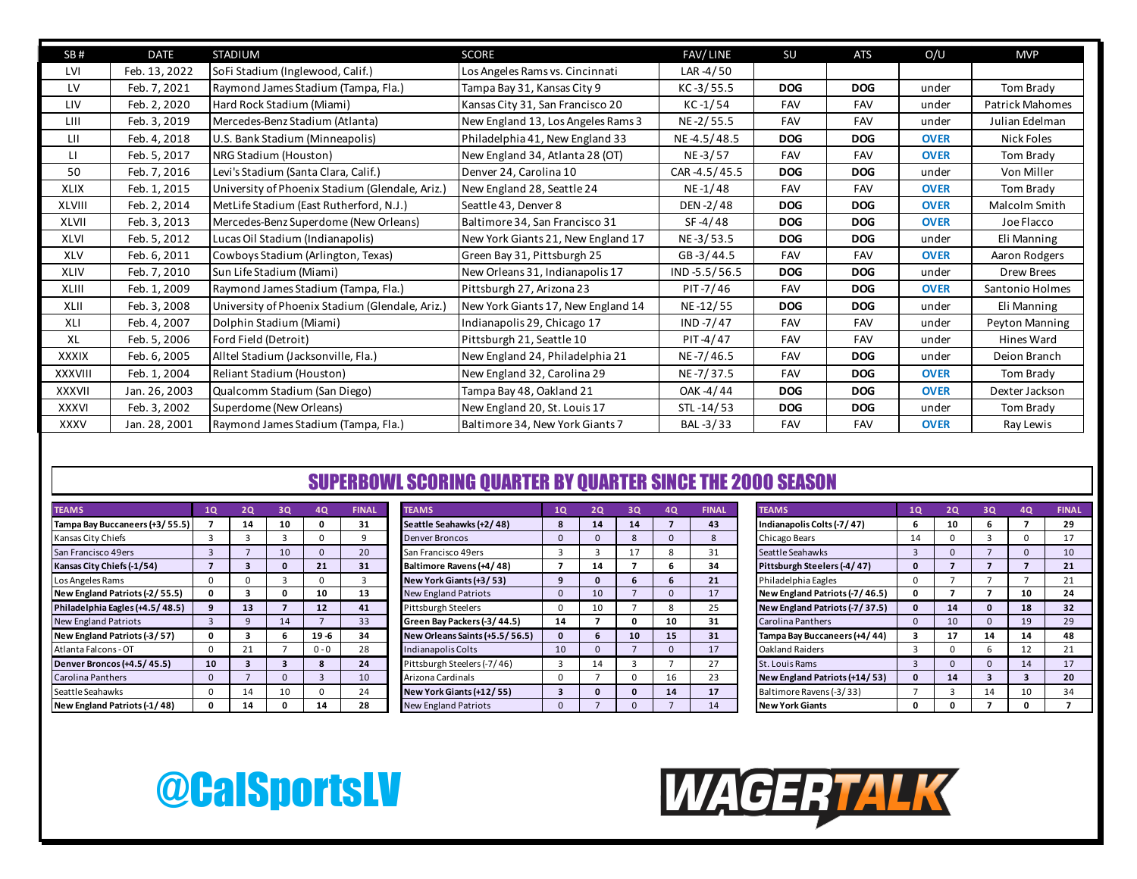| SB#           | <b>DATE</b>   | <b>STADIUM</b>                                  | <b>SCORE</b>                       | FAV/LINE        | SU         | <b>ATS</b> | O/U         | <b>MVP</b>      |
|---------------|---------------|-------------------------------------------------|------------------------------------|-----------------|------------|------------|-------------|-----------------|
| LVI           | Feb. 13, 2022 | SoFi Stadium (Inglewood, Calif.)                | Los Angeles Rams vs. Cincinnati    | LAR -4/50       |            |            |             |                 |
| LV            | Feb. 7, 2021  | Raymond James Stadium (Tampa, Fla.)             | Tampa Bay 31, Kansas City 9        | $KC - 3 / 55.5$ | <b>DOG</b> | <b>DOG</b> | under       | Tom Brady       |
| LIV           | Feb. 2, 2020  | Hard Rock Stadium (Miami)                       | Kansas City 31, San Francisco 20   | $KC -1/54$      | <b>FAV</b> | FAV        | under       | Patrick Mahomes |
| LIII          | Feb. 3, 2019  | Mercedes-Benz Stadium (Atlanta)                 | New England 13, Los Angeles Rams 3 | NE-2/55.5       | <b>FAV</b> | FAV        | under       | Julian Edelman  |
| LII           | Feb. 4, 2018  | U.S. Bank Stadium (Minneapolis)                 | Philadelphia 41, New England 33    | NE-4.5/48.5     | <b>DOG</b> | <b>DOG</b> | <b>OVER</b> | Nick Foles      |
| LI.           | Feb. 5, 2017  | NRG Stadium (Houston)                           | New England 34, Atlanta 28 (OT)    | NE-3/57         | <b>FAV</b> | FAV        | <b>OVER</b> | Tom Brady       |
| 50            | Feb. 7, 2016  | Levi's Stadium (Santa Clara, Calif.)            | Denver 24, Carolina 10             | CAR-4.5/45.5    | <b>DOG</b> | <b>DOG</b> | under       | Von Miller      |
| <b>XLIX</b>   | Feb. 1, 2015  | University of Phoenix Stadium (Glendale, Ariz.) | New England 28, Seattle 24         | NE-1/48         | <b>FAV</b> | FAV        | <b>OVER</b> | Tom Brady       |
| XLVIII        | Feb. 2, 2014  | MetLife Stadium (East Rutherford, N.J.)         | Seattle 43, Denver 8               | DEN-2/48        | <b>DOG</b> | <b>DOG</b> | <b>OVER</b> | Malcolm Smith   |
| <b>XLVII</b>  | Feb. 3, 2013  | Mercedes-Benz Superdome (New Orleans)           | Baltimore 34, San Francisco 31     | SF-4/48         | <b>DOG</b> | <b>DOG</b> | <b>OVER</b> | Joe Flacco      |
| XLVI          | Feb. 5, 2012  | Lucas Oil Stadium (Indianapolis)                | New York Giants 21, New England 17 | NE-3/53.5       | <b>DOG</b> | <b>DOG</b> | under       | Eli Manning     |
| XLV           | Feb. 6, 2011  | Cowboys Stadium (Arlington, Texas)              | Green Bay 31, Pittsburgh 25        | GB-3/44.5       | <b>FAV</b> | <b>FAV</b> | <b>OVER</b> | Aaron Rodgers   |
| <b>XLIV</b>   | Feb. 7, 2010  | Sun Life Stadium (Miami)                        | New Orleans 31, Indianapolis 17    | $IND -5.5/56.5$ | <b>DOG</b> | <b>DOG</b> | under       | Drew Brees      |
| XLIII         | Feb. 1, 2009  | Raymond James Stadium (Tampa, Fla.)             | Pittsburgh 27, Arizona 23          | PIT-7/46        | <b>FAV</b> | <b>DOG</b> | <b>OVER</b> | Santonio Holmes |
| XLII          | Feb. 3, 2008  | University of Phoenix Stadium (Glendale, Ariz.) | New York Giants 17, New England 14 | NE-12/55        | <b>DOG</b> | <b>DOG</b> | under       | Eli Manning     |
| XLI           | Feb. 4, 2007  | Dolphin Stadium (Miami)                         | Indianapolis 29, Chicago 17        | IND $-7/47$     | <b>FAV</b> | <b>FAV</b> | under       | Peyton Manning  |
| XL            | Feb. 5, 2006  | Ford Field (Detroit)                            | Pittsburgh 21, Seattle 10          | PIT-4/47        | FAV        | FAV        | under       | Hines Ward      |
| <b>XXXIX</b>  | Feb. 6, 2005  | Alltel Stadium (Jacksonville, Fla.)             | New England 24, Philadelphia 21    | NE-7/46.5       | <b>FAV</b> | <b>DOG</b> | under       | Deion Branch    |
| XXXVIII       | Feb. 1, 2004  | Reliant Stadium (Houston)                       | New England 32, Carolina 29        | NE-7/37.5       | <b>FAV</b> | <b>DOG</b> | <b>OVER</b> | Tom Brady       |
| <b>XXXVII</b> | Jan. 26, 2003 | Qualcomm Stadium (San Diego)                    | Tampa Bay 48, Oakland 21           | OAK -4/44       | <b>DOG</b> | <b>DOG</b> | <b>OVER</b> | Dexter Jackson  |
| <b>XXXVI</b>  | Feb. 3, 2002  | Superdome (New Orleans)                         | New England 20, St. Louis 17       | STL-14/53       | <b>DOG</b> | <b>DOG</b> | under       | Tom Brady       |
| <b>XXXV</b>   | Jan. 28, 2001 | Raymond James Stadium (Tampa, Fla.)             | Baltimore 34, New York Giants 7    | BAL-3/33        | <b>FAV</b> | <b>FAV</b> | <b>OVER</b> | Ray Lewis       |

#### SUPERBOWL SCORING QUARTER BY QUARTER SINCE THE 2000 SEASON

| <b>TEAMS</b>                    | 1Q             | 2Q             | 3Q             | <b>4Q</b>      | <b>FINAL</b> |
|---------------------------------|----------------|----------------|----------------|----------------|--------------|
| Tampa Bay Buccaneers (+3/55.5)  | 7              | 14             | 10             | 0              | 31           |
| Kansas City Chiefs              | 3              | 3              | 3              | 0              | 9            |
| San Francisco 49ers             | 3              | $\overline{7}$ | 10             | $\Omega$       | 20           |
| Kansas City Chiefs (-1/54)      | $\overline{ }$ | 3              | $\mathbf{0}$   | 21             | 31           |
| Los Angeles Rams                | 0              | 0              | 3              | 0              | 3            |
| New England Patriots (-2/55.5)  | 0              | 3              | 0              | 10             | 13           |
| Philadelphia Eagles (+4.5/48.5) | 9              | 13             | $\overline{ }$ | 12             | 41           |
| <b>New England Patriots</b>     | 3              | 9              | 14             | $\overline{7}$ | 33           |
| New England Patriots (-3/57)    | 0              | 3              | 6              | $19 - 6$       | 34           |
| Atlanta Falcons - OT            | 0              | 21             | 7              | $0 - 0$        | 28           |
| Denver Broncos (+4.5/45.5)      | 10             | 3              | 3              | 8              | 24           |
| Carolina Panthers               | $\Omega$       | $\overline{7}$ | $\Omega$       | 3              | 10           |
| Seattle Seahawks                | $\Omega$       | 14             | 10             | $\Omega$       | 24           |
| New England Patriots (-1/48)    | 0              | 14             | 0              | 14             | 28           |

| <b>TEAMS</b>                    | 10           | 20 | 30 | 4Q       | <b>FINAL</b> | <b>TEAMS</b>                   | 1Q | 20 | 30 | 4Q | <b>FINAL</b> | <b>TEAMS</b>                   | 1Q | 20 | 30 | <b>FINAL</b> |
|---------------------------------|--------------|----|----|----------|--------------|--------------------------------|----|----|----|----|--------------|--------------------------------|----|----|----|--------------|
| Tampa Bay Buccaneers (+3/55.5)  |              | 14 | 10 |          | 31           | Seattle Seahawks (+2/48)       | 8  | 14 | 14 |    | 43           | Indianapolis Colts (-7/47)     |    | 10 |    | 29           |
| Kansas City Chiefs              |              |    |    |          |              | Denver Broncos                 |    |    |    |    |              | Chicago Bears                  | 14 |    |    | 17           |
| San Francisco 49ers             |              |    | 10 |          | 20           | San Francisco 49ers            |    |    |    |    | 31           | Seattle Seahawks               |    |    |    | 10           |
| Kansas City Chiefs (-1/54)      |              |    |    | 21       | 31           | Baltimore Ravens (+4/48)       |    | 14 |    |    | 34           | Pittsburgh Steelers (-4/47)    |    |    |    | 21           |
| Los Angeles Rams                |              |    |    |          |              | New York Giants (+3/53)        |    |    |    |    | 21           | Philadelphia Eagles            |    |    |    | 21           |
| New England Patriots (-2/55.5)  |              |    |    | 10       | 13           | <b>New England Patriots</b>    |    | 10 |    |    | 17           | New England Patriots (-7/46.5) |    |    |    | 24           |
| Philadelphia Eagles (+4.5/48.5) |              | 13 |    | 12       | 41           | Pittsburgh Steelers            |    | 10 |    |    | 25           | New England Patriots (-7/37.5) |    | 14 |    | 32           |
| New England Patriots            |              |    |    |          | 33           | Green Bay Packers (-3/44.5)    | 14 |    |    | 10 | 31           | <b>Carolina Panthers</b>       |    | 10 |    | 29           |
| New England Patriots (-3/57)    |              |    |    | $19 - 6$ | 34           | New Orleans Saints (+5.5/56.5) |    |    | 10 | 15 | 31           | Tampa Bay Buccaneers (+4/44)   |    | 17 | 14 | 48           |
| Atlanta Falcons - OT            | <sup>n</sup> | 21 |    | $0 - 0$  | 28           | Indianapolis Colts             | 10 |    |    |    | 17           | <b>Oakland Raiders</b>         |    |    |    | 21           |
| Denver Broncos (+4.5/45.5)      | 10           |    |    |          | 24           | Pittsburgh Steelers (-7/46)    |    | 14 |    |    | 27           | St. Louis Rams                 |    |    |    | 17           |
| Carolina Panthers               | <sup>o</sup> |    |    |          | 10           | Arizona Cardinals              |    |    |    | 16 | 23           | New England Patriots (+14/53)  |    | 14 |    | 20           |
| Seattle Seahawks                |              | 14 | 10 |          | 24           | New York Giants (+12/55)       |    |    |    | 14 | 17           | Baltimore Ravens (-3/33)       |    |    | 14 | 34           |
| New England Patriots (-1/48)    |              | 14 |    | 14       | 28           | <b>New England Patriots</b>    |    |    |    |    | 14           | <b>New York Giants</b>         |    |    |    |              |

| <b>TEAMS</b>                   | 1Q             | 2Q             | 3Q             | <b>4Q</b>               | <b>FINAL</b> |
|--------------------------------|----------------|----------------|----------------|-------------------------|--------------|
| Indianapolis Colts (-7/47)     | 6              | 10             | 6              | 7                       | 29           |
| Chicago Bears                  | 14             | $\Omega$       | 3              | 0                       | 17           |
| Seattle Seahawks               | 3              | $\Omega$       | $\overline{7}$ | $\Omega$                | 10           |
| Pittsburgh Steelers (-4/47)    | $\mathbf{0}$   | $\overline{7}$ | $\overline{ }$ | $\overline{7}$          | 21           |
| Philadelphia Eagles            | 0              | 7              | 7              | 7                       | 21           |
| New England Patriots (-7/46.5) | 0              | 7              | 7              | 10                      | 24           |
| New England Patriots (-7/37.5) | $\mathbf{0}$   | 14             | $\mathbf{0}$   | 18                      | 32           |
| Carolina Panthers              | $\Omega$       | 10             | $\Omega$       | 19                      | 29           |
| Tampa Bay Buccaneers (+4/44)   | 3              | 17             | 14             | 14                      | 48           |
| <b>Oakland Raiders</b>         | 3              | $\Omega$       | 6              | 12                      | 21           |
| St. Louis Rams                 | 3              | $\Omega$       | $\Omega$       | 14                      | 17           |
| New England Patriots (+14/53)  | $\mathbf 0$    | 14             | 3              | $\overline{\mathbf{3}}$ | 20           |
| Baltimore Ravens (-3/33)       | $\overline{7}$ | 3              | 14             | 10                      | 34           |
| <b>New York Giants</b>         | 0              | 0              | 7              | 0                       | 7            |



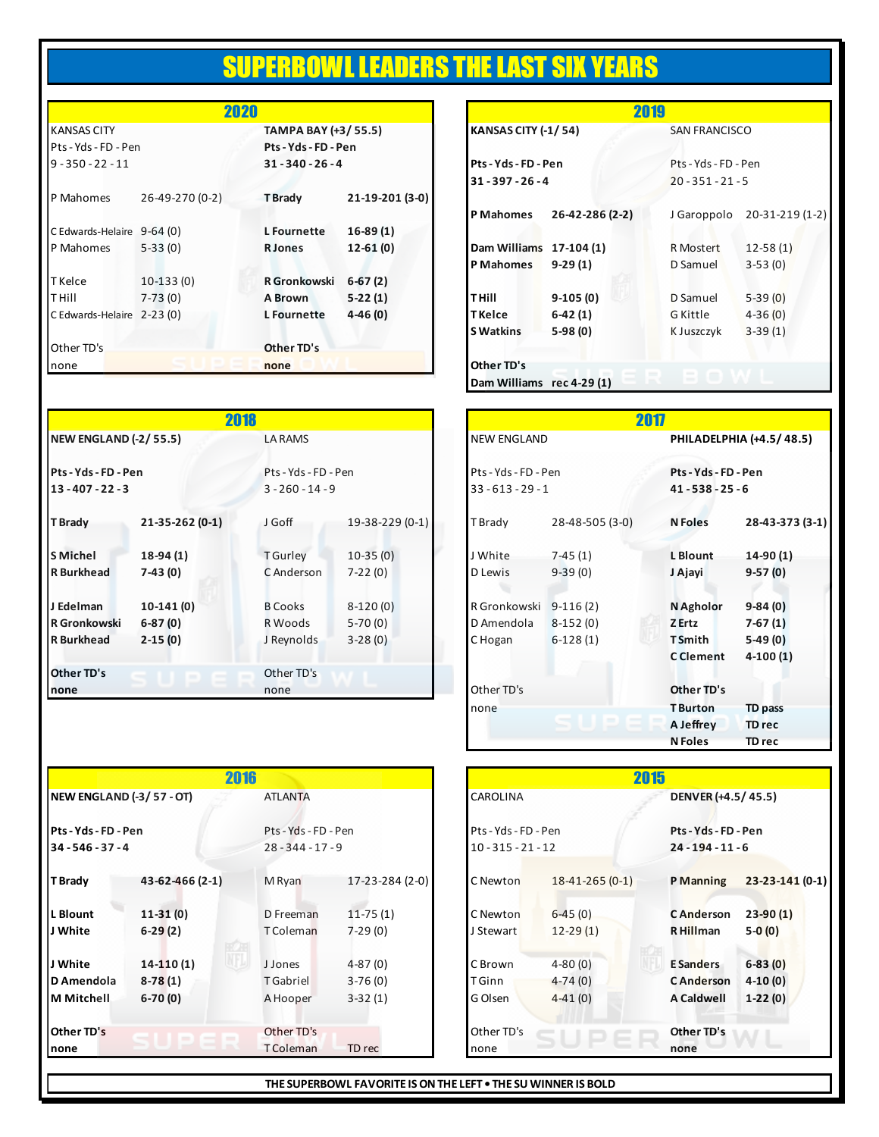### SUPERBOWL LEADERS THE LAST SIX YEARS

|                            | <b>ZUZU</b>     |                      |                 |                            | <b>ZU19</b>     |                      |              |
|----------------------------|-----------------|----------------------|-----------------|----------------------------|-----------------|----------------------|--------------|
| <b>KANSAS CITY</b>         |                 | TAMPA BAY (+3/55.5)  |                 | <b>KANSAS CITY (-1/54)</b> |                 | <b>SAN FRANCISCO</b> |              |
| Pts - Yds - FD - Pen       |                 | Pts - Yds - FD - Pen |                 |                            |                 |                      |              |
| $9 - 350 - 22 - 11$        |                 | $31 - 340 - 26 - 4$  |                 | Pts - Yds - FD - Pen       |                 | Pts - Yds - FD - Pen |              |
|                            |                 |                      |                 | $31 - 397 - 26 - 4$        |                 | $20 - 351 - 21 - 5$  |              |
| P Mahomes                  | 26-49-270 (0-2) | <b>T</b> Brady       | 21-19-201 (3-0) |                            |                 |                      |              |
|                            |                 |                      |                 | <b>P</b> Mahomes           | 26-42-286 (2-2) | J Garoppolo          | 20-31-21     |
| C Edwards-Helaire 9-64 (0) |                 | <b>L</b> Fournette   | $16-89(1)$      |                            |                 |                      |              |
| P Mahomes                  | $5-33(0)$       | <b>R</b> Jones       | $12 - 61(0)$    | Dam Williams 17-104 (1)    |                 | R Mostert            | $12 - 58(1)$ |
|                            |                 |                      |                 | <b>P</b> Mahomes           | $9-29(1)$       | D Samuel             | $3-53(0)$    |
| <b>T</b> Kelce             | $10-133(0)$     | <b>R</b> Gronkowski  | $6-67(2)$       |                            |                 |                      |              |
| <b>THill</b>               | $7-73(0)$       | A Brown              | $5-22(1)$       | T Hill                     | $9-105(0)$      | D Samuel             | $5-39(0)$    |
| C Edwards-Helaire 2-23 (0) |                 | <b>L</b> Fournette   | $4-46(0)$       | <b>TKelce</b>              | $6-42(1)$       | G Kittle             | $4 - 36(0)$  |
|                            |                 |                      |                 | <b>S Watkins</b>           | $5-98(0)$       | K Juszczyk           | $3-39(1)$    |
| Other TD's                 |                 | Other TD's           |                 |                            |                 |                      |              |
| none                       |                 | none                 |                 | Other TD's                 |                 |                      |              |

| 2020 |                                             |                 |                           | 2019            |                      |                 |
|------|---------------------------------------------|-----------------|---------------------------|-----------------|----------------------|-----------------|
|      | TAMPA BAY (+3/55.5)<br>Pts - Yds - FD - Pen |                 | KANSAS CITY (-1/54)       |                 | <b>SAN FRANCISCO</b> |                 |
|      | $31 - 340 - 26 - 4$                         |                 | Pts - Yds - FD - Pen      |                 | Pts - Yds - FD - Pen |                 |
|      |                                             |                 | $31 - 397 - 26 - 4$       |                 | $20 - 351 - 21 - 5$  |                 |
|      | T Brady                                     | 21-19-201 (3-0) |                           |                 |                      |                 |
|      |                                             |                 | <b>P</b> Mahomes          | 26-42-286 (2-2) | J Garoppolo          | 20-31-219 (1-2) |
|      | <b>L</b> Fournette                          | $16-89(1)$      |                           |                 |                      |                 |
|      | <b>R</b> Jones                              | $12 - 61(0)$    | Dam Williams 17-104 (1)   |                 | <b>R</b> Mostert     | $12 - 58(1)$    |
|      |                                             |                 | <b>P</b> Mahomes          | $9-29(1)$       | D Samuel             | $3-53(0)$       |
|      | <b>R</b> Gronkowski                         | $6-67(2)$       |                           |                 |                      |                 |
|      | A Brown                                     | $5-22(1)$       | <b>THill</b>              | $9-105(0)$      | D Samuel             | $5-39(0)$       |
|      | L Fournette                                 | $4-46(0)$       | <b>TKelce</b>             | $6-42(1)$       | G Kittle             | $4 - 36(0)$     |
|      |                                             |                 | <b>S</b> Watkins          | $5-98(0)$       | K Juszczyk           | $3-39(1)$       |
|      | Other TD's                                  |                 |                           |                 |                      |                 |
|      | none                                        |                 | Other TD's                |                 |                      |                 |
|      |                                             |                 | Dam Williams rec 4-29 (1) |                 |                      |                 |

|                                             | <b>ZU18</b>     |                                            |                        |                                             |                 | <b>ZU1/</b>                                 |                          |  |  |  |
|---------------------------------------------|-----------------|--------------------------------------------|------------------------|---------------------------------------------|-----------------|---------------------------------------------|--------------------------|--|--|--|
| <b>NEW ENGLAND (-2/55.5)</b>                |                 | <b>LA RAMS</b>                             |                        | <b>NEW ENGLAND</b>                          |                 |                                             | PHILADELPHIA (+4.5/48.5) |  |  |  |
| Pts - Yds - FD - Pen<br>$13 - 407 - 22 - 3$ |                 | Pts - Yds - FD - Pen<br>$3 - 260 - 14 - 9$ |                        | Pts - Yds - FD - Pen<br>$33 - 613 - 29 - 1$ |                 | Pts - Yds - FD - Pen<br>$41 - 538 - 25 - 6$ |                          |  |  |  |
| T Brady                                     | 21-35-262 (0-1) | J Goff                                     | $19 - 38 - 229(0 - 1)$ | T Brady                                     | 28-48-505 (3-0) | <b>N</b> Foles                              | 28-43-373 (3-1)          |  |  |  |
| <b>S</b> Michel                             | $18-94(1)$      | <b>TGurley</b>                             | $10-35(0)$             | J White                                     | $7-45(1)$       | L Blount                                    | $14-90(1)$               |  |  |  |
| <b>R</b> Burkhead                           | $7-43(0)$       | C Anderson                                 | $7 - 22(0)$            | D Lewis                                     | $9-39(0)$       | J Ajayi                                     | $9-57(0)$                |  |  |  |
| J Edelman                                   | $10-141(0)$     | <b>B Cooks</b>                             | $8-120(0)$             | R Gronkowski                                | $9-116(2)$      | N Agholor                                   | $9-84(0)$                |  |  |  |
| <b>R</b> Gronkowski                         | $6-87(0)$       | R Woods                                    | $5-70(0)$              | D Amendola                                  | $8-152(0)$      | Z Ertz                                      | $7-67(1)$                |  |  |  |
| <b>R</b> Burkhead                           | $2-15(0)$       | J Reynolds                                 | $3 - 28(0)$            | C Hogan                                     | $6-128(1)$      | <b>T</b> Smith                              | $5-49(0)$                |  |  |  |
|                                             |                 |                                            |                        |                                             |                 | <b>C</b> Clement                            | $4-100(1)$               |  |  |  |
| Other TD's                                  |                 | Other TD's                                 |                        |                                             |                 |                                             |                          |  |  |  |
| none                                        |                 | none                                       |                        | Other TD's                                  |                 | Other TD's                                  |                          |  |  |  |
|                                             |                 |                                            |                        |                                             |                 |                                             |                          |  |  |  |

|                          | 2016            |                      |                 |                      |                  | 2015                 |                 |
|--------------------------|-----------------|----------------------|-----------------|----------------------|------------------|----------------------|-----------------|
| NEW ENGLAND (-3/57 - OT) |                 | <b>ATLANTA</b>       |                 | CAROLINA             |                  | DENVER (+4.5/45.5)   |                 |
| Pts - Yds - FD - Pen     |                 | Pts - Yds - FD - Pen |                 | Pts - Yds - FD - Pen |                  | Pts - Yds - FD - Pen |                 |
| $34 - 546 - 37 - 4$      |                 | $28 - 344 - 17 - 9$  |                 | $10 - 315 - 21 - 12$ |                  | $24 - 194 - 11 - 6$  |                 |
| T Brady                  | 43-62-466 (2-1) | M Ryan               | 17-23-284 (2-0) | C Newton             | $18-41-265(0-1)$ | P Manning            | 23-23-141 (0-1) |
| L Blount                 | $11-31(0)$      | D Freeman            | $11 - 75(1)$    | C Newton             | $6-45(0)$        | <b>CAnderson</b>     | $23-90(1)$      |
| J White                  | $6-29(2)$       | <b>TColeman</b>      | $7-29(0)$       | J Stewart            | $12-29(1)$       | R Hillman            | $5-0(0)$        |
| J White                  | $14-110(1)$     | <b>J</b> Jones       | $4-87(0)$       | C Brown              | $4 - 80(0)$      | <b>E</b> Sanders     | $6-83(0)$       |
| D Amendola               | $8-78(1)$       | <b>TGabriel</b>      | $3-76(0)$       | T Ginn               | $4-74(0)$        | <b>CAnderson</b>     | $4-10(0)$       |
| l M Mitchell             | $6-70(0)$       | A Hooper             | $3-32(1)$       | G Olsen              | $4-41(0)$        | <b>A Caldwell</b>    | $1-22(0)$       |
| Other TD's               |                 | Other TD's           |                 | Other TD's           |                  | Other TD's           |                 |
| none                     |                 | <b>TColeman</b>      | TD rec          | none                 |                  | none                 |                 |

| 2018 |                                            |                 |                                             |                 | 2017                                        |                          |  |  |  |  |
|------|--------------------------------------------|-----------------|---------------------------------------------|-----------------|---------------------------------------------|--------------------------|--|--|--|--|
|      | <b>LA RAMS</b>                             |                 | <b>NEW ENGLAND</b>                          |                 |                                             | PHILADELPHIA (+4.5/48.5) |  |  |  |  |
|      | Pts - Yds - FD - Pen<br>$3 - 260 - 14 - 9$ |                 | Pts - Yds - FD - Pen<br>$33 - 613 - 29 - 1$ |                 | Pts - Yds - FD - Pen<br>$41 - 538 - 25 - 6$ |                          |  |  |  |  |
|      | J Goff                                     | 19-38-229 (0-1) | T Brady                                     | 28-48-505 (3-0) | <b>N</b> Foles                              | 28-43-373 (3-1)          |  |  |  |  |
|      | <b>T</b> Gurley                            | $10-35(0)$      | J White                                     | $7-45(1)$       | L Blount                                    | $14-90(1)$               |  |  |  |  |
|      | C Anderson                                 | $7 - 22(0)$     | D Lewis                                     | $9-39(0)$       | J Ajayi                                     | $9-57(0)$                |  |  |  |  |
|      | <b>B Cooks</b>                             | $8-120(0)$      | R Gronkowski 9-116 (2)                      |                 | N Agholor                                   | $9-84(0)$                |  |  |  |  |
|      | R Woods                                    | $5-70(0)$       | D Amendola                                  | $8-152(0)$      | Z Ertz                                      | $7-67(1)$                |  |  |  |  |
|      | J Reynolds                                 | $3 - 28(0)$     | C Hogan                                     | $6-128(1)$      | <b>TSmith</b>                               | $5-49(0)$                |  |  |  |  |
|      |                                            |                 |                                             |                 | <b>C</b> Clement                            | $4-100(1)$               |  |  |  |  |
|      | Other TD's                                 |                 |                                             |                 |                                             |                          |  |  |  |  |
|      | none                                       |                 | Other TD's                                  |                 | Other TD's                                  |                          |  |  |  |  |
|      |                                            |                 | none                                        |                 | <b>T</b> Burton                             | <b>TD pass</b>           |  |  |  |  |
|      |                                            |                 |                                             |                 | A Jeffrey                                   | TD rec                   |  |  |  |  |
|      |                                            |                 |                                             |                 | <b>N</b> Foles                              | TD rec                   |  |  |  |  |

|                      | 2015                 |                     |                 |
|----------------------|----------------------|---------------------|-----------------|
| CAROLINA             |                      | DENVER (+4.5/45.5)  |                 |
| Pts - Yds - FD - Pen |                      | Pts-Yds-FD-Pen      |                 |
| $10 - 315 - 21 - 12$ |                      | $24 - 194 - 11 - 6$ |                 |
| C Newton             | $18 - 41 - 265(0-1)$ | P Manning           | 23-23-141 (0-1) |
| C Newton             | $6-45(0)$            | <b>CAnderson</b>    | $23-90(1)$      |
| J Stewart            | $12-29(1)$           | R Hillman           | $5-0(0)$        |
| C Brown              | $4 - 80(0)$          | <b>E</b> Sanders    | $6-83(0)$       |
| T Ginn               | $4-74(0)$            | <b>CAnderson</b>    | $4-10(0)$       |
| G Olsen              | $4-41(0)$            | <b>A Caldwell</b>   | $1-22(0)$       |
| Other TD's           |                      | Other TD's          |                 |
| none                 |                      | none                |                 |

**THE SUPERBOWL FAVORITE IS ON THE LEFT • THE SU WINNER IS BOLD**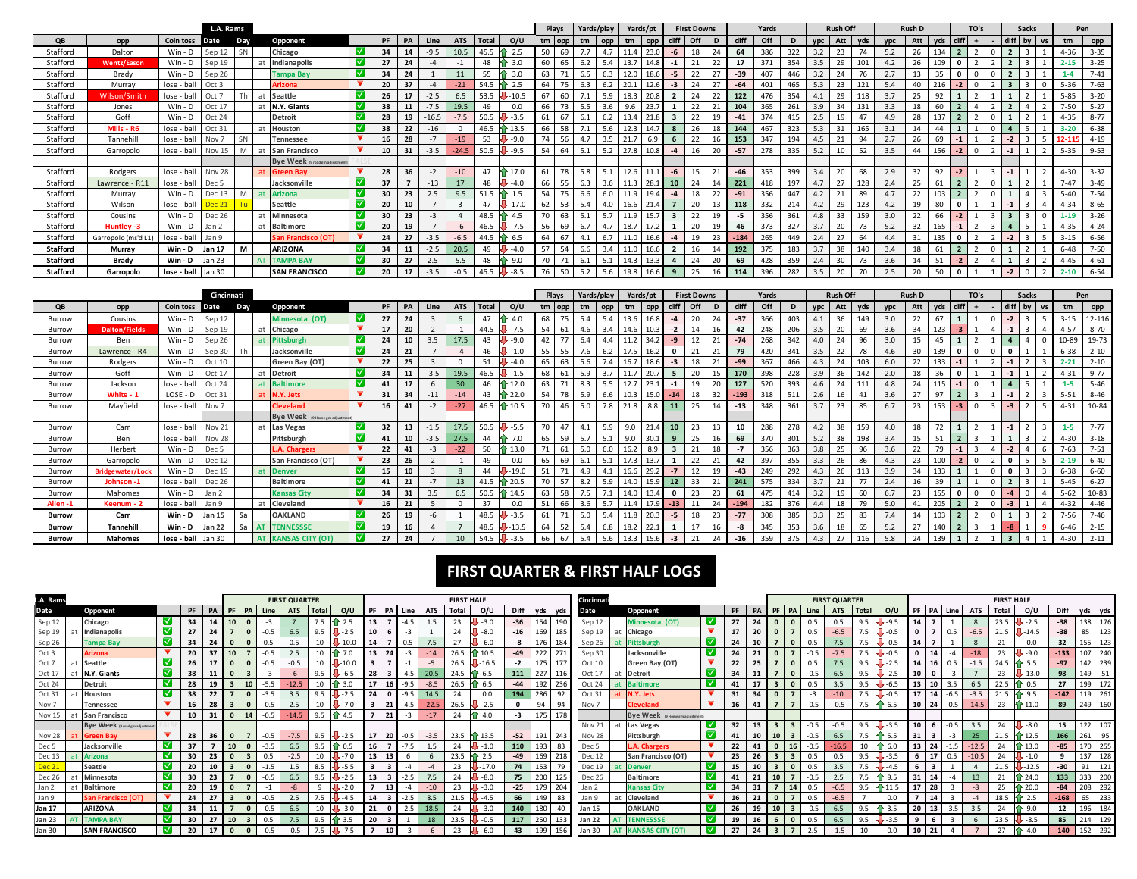|                 |                     |                    | L.A. Rams        |           |                                    |                         |    |    |         |            |      |                 |    | Plays    | Yards/play |     |      | Yards/pt |      | <b>First Downs</b> |    |        | Yards |     |            | <b>Rush Off</b> |     |     | <b>Rush D</b> |     | TO's |  | <b>Sacks</b> | Pen      |          |
|-----------------|---------------------|--------------------|------------------|-----------|------------------------------------|-------------------------|----|----|---------|------------|------|-----------------|----|----------|------------|-----|------|----------|------|--------------------|----|--------|-------|-----|------------|-----------------|-----|-----|---------------|-----|------|--|--------------|----------|----------|
| QB              | opp                 | Coin toss          | Date             | Day       | Opponent                           |                         | PF |    |         | <b>ATS</b> |      | o/u             |    | $tm$ opp | tm         | opp | tm   | opp      |      | Off                | D  | diff   |       | D   | <b>VDC</b> |                 |     |     | Att           | vds |      |  |              | tm       | opp      |
| Stafford        | Dalton              | $Win - D$          | Sep 12           | SN        | Chicago                            | IV.                     | 34 | 14 | $-9.5$  | 10.5       | 45.5 |                 | 50 | 69       |            | 4.7 |      | 23.0     | -6   | 18                 |    | 64     | 386   | 322 |            |                 |     | 5.2 | 26            | 134 |      |  |              | $4 - 36$ | $3 - 35$ |
| Stafford        | <b>Wentz/Eason</b>  | Win - D            | Sep 19           |           | Indianapolis                       | $\overline{\mathbf{v}}$ |    | 24 |         |            | 48   |                 | 60 |          |            | 5.4 |      |          |      |                    |    |        | 371   | 354 |            |                 |     |     |               |     |      |  |              |          | $3 - 25$ |
| Stafford        | Brady               | $Win - D$          | Sep 26           |           | <b>Tampa Bay</b>                   | - ⊠                     | 34 | 24 |         |            | 55   | 3.0             | 63 |          | 6.5        | 6.3 | 12.0 |          | -5   | 22                 |    | -39    |       |     |            |                 |     |     | 13            |     |      |  |              |          | $7 - 41$ |
| Stafford        | Murray              | lose - ball        | Oct 3            |           | <b>Arizona</b>                     |                         | 20 | 37 |         | $-21$      | 54.5 |                 | 64 |          | 6.3        | 6.2 |      |          | -3   | 24                 |    | $-64$  |       | 465 | 5.3        | 23              | 121 | 5.4 | 40            |     |      |  |              | $5 - 36$ | $7 - 63$ |
| Stafford        | Wilson/Smith        | lose - ball        | Oct              |           | at Seattle                         | IV.                     | 26 |    | $-2.5$  | 6.5        | 53.5 |                 | 67 | 60       |            | 5.9 |      |          |      |                    |    | 122    | 476   | 354 |            |                 |     | 3.7 | 25            | 92  |      |  |              | $5 - 85$ | $3 - 20$ |
| Stafford        | Jones               | $Win - D$          | Oct 17           |           | N.Y. Giants                        | IV.                     | 38 | 11 | $-7.5$  | 19.5       | 49   |                 | 66 | 73       | 5.5        | 3.6 | 9.6  | 23.      |      | 22                 |    | 104    | 365   | 261 | 3.9        | 34              | 131 | 3.3 | 18            | 60  |      |  |              | $7 - 50$ | $5 - 27$ |
| Stafford        | Goff                | $Win - D$          | Oct 24           |           | <b>Detroit</b>                     | - ∨                     | 28 | 19 | $-16.5$ |            |      | $-3.5$          | 61 |          |            |     |      |          |      |                    | 19 | $-41$  | 374   | 415 |            |                 |     |     | 28            |     |      |  |              |          | $8 - 77$ |
| Stafford        | Mills - R6          | lose - bal         | Oct 3            |           | Houston                            | IV.                     | 38 | 22 |         |            |      |                 | 66 |          |            | 5.6 |      |          |      |                    | 18 | 144    |       | 323 | 5.3        |                 |     |     |               |     |      |  |              |          | $6 - 38$ |
| Stafford        | Tannehill           | lose - ball        | Nov <sup>:</sup> | <b>SN</b> | <b>Tennessee</b>                   |                         | 16 | 28 |         | $-19$      | 53   |                 | 74 | 56       | 4.7        | 3.5 |      |          |      | 22                 | 16 | 153    | 347   | 194 | 4.5        |                 | 94  |     | 26            | 69  |      |  |              | 15.      | $4 - 19$ |
| Stafford        | Garropolo           | lose - ball        | Nov 15           | M         | at San Francisco                   |                         | 10 | 31 | $-3.5$  | $-24.5$    | 50.5 | $-9.5$          | 54 | 64       | 5.1        | 5.2 | 27.8 |          | $-4$ |                    | 20 | $-57$  | 278   | 335 | 5.2        | 10              | 52  | 3.5 | 44            | 156 |      |  |              | $5 - 35$ | $9 - 53$ |
|                 |                     |                    |                  |           | <b>Bye Week</b> (9 road gm adjustm |                         |    |    |         |            |      |                 |    |          |            |     |      |          |      |                    |    |        |       |     |            |                 |     |     |               |     |      |  |              |          |          |
| Stafford        | Rodgers             | lose - ball        | Nov 28           |           | at Green Bay                       |                         | 28 | 36 |         | $-10$      |      | $\uparrow$ 17.0 | 61 | 78       | 5.8        | 5.1 |      |          | -6   |                    |    | $-46$  | 353   | 399 | 3.4        |                 | 68  | 2.9 | 32            | 92  |      |  |              | $4 - 30$ | $3 - 32$ |
| Stafford        | Lawrence - R11      | lose - bal         | Dec 5            |           | Jacksonville                       | HV.                     | 37 |    | $-13$   |            |      |                 | 66 |          |            | 3.6 |      |          | 10   |                    |    | 221    |       |     |            |                 |     |     | 25            |     |      |  |              | $7 - 47$ | $3 - 49$ |
| Stafford        | Murray              | Win - D            | Dec 13           | M         | at Arizona                         |                         | 30 | 23 | 2.5     | 9.5        | 51.5 |                 | 54 |          | 6.6        | 6.0 |      |          | $-4$ | 18                 |    | $-91$  | 356   | 447 |            |                 | 89  |     | 22            |     |      |  | $\mathbf{3}$ | $5 - 40$ | $7 - 54$ |
| Stafford        | Wilson              | lose - ball        |                  |           | <b>Seattle</b>                     | HV.                     | 20 | 10 |         |            |      |                 | 62 | 53       |            | 4.0 |      |          |      |                    |    | 118    | 332   |     |            | 2 <sup>g</sup>  |     |     | 19            | 80  |      |  |              | $4 - 34$ | $8 - 65$ |
| Stafford        | Cousins             | $Win - D$          | <b>Dec 26</b>    |           | Minnesota                          | M                       | 30 | 23 |         |            | 48.5 |                 | 70 |          |            | 5.7 | 11.9 |          |      | 22                 | 19 | $-5$   | 356   | 361 | 4.8        | 33              | 159 |     | 22            | 66  |      |  |              |          | $3 - 26$ |
| Stafford        | Huntley -3          | $Win - D$          | Jan 2            |           | <b>Baltimore</b>                   | $\overline{\vee}$       | 20 | 19 |         |            | 46.5 |                 | 56 | 69       | 6.7        | 4.7 | 18.7 |          |      | 20                 | 19 | 46     | 373   | 327 |            |                 | 7:  | 5.2 | 32            |     |      |  |              | $4 - 35$ | $4 - 24$ |
| Stafford        | Garropolo (ms'd L1) | lose - ball        | Jan 9            |           | <b>San Francisco (OT)</b>          |                         | 24 | 27 | $-3.5$  | -6.5       | 44.5 |                 | 64 |          |            |     |      |          |      | 19                 |    | $-184$ | 265   | 449 |            |                 |     |     |               |     |      |  |              | $3 - 15$ | $6 - 56$ |
| Stafford        | Murray              | Win - D            | <b>Jan 17</b>    | M         | <b>ARIZONA</b>                     |                         | 34 | 11 | $-2.5$  | 20.5       | 49   |                 | 57 | 54       |            | 3.4 |      |          |      |                    |    | 192    | 375   | 183 |            | 38              |     |     |               |     |      |  |              | $6 - 48$ | $7 - 50$ |
| <b>Stafford</b> | <b>Brady</b>        | Win - D            | Jan 23           |           | AT TAMPA BAY                       | IV.                     | 30 | 27 | 2.5     | 55         | 48   | 9 <sub>f</sub>  | 70 |          |            | 5.1 |      |          |      |                    | 20 | 69     | 428   | 359 |            | 3ſ              | 73  |     | 14            |     |      |  |              | $4 - 45$ | $4 - 61$ |
| <b>Stafford</b> | Garropolo           | lose - ball Jan 30 |                  |           | <b>SAN FRANCISCO</b>               | IV.                     | 20 | 17 | $-3.5$  | $-0.5$     | 45.5 | $+8.5$          | 76 | 50       | 5.2        | 5.6 | 19.8 | $16.6$ 9 |      | 25                 | 16 | 114    | 396   | 282 | 3.5        | 20              | 70  | 2.5 | 20            | 50  |      |  |              | $2 - 10$ | $6 - 54$ |

| Cincinnati    |                         |             |                  |       |  |                                 |     |    |    |        |                 |              |                 |     |                |            |     |      |          |              |                    |    |        |       |     |            | <b>Rush D</b>   |     |     |    |     | <b>Sacks</b> |      |    |    |  |          |           |
|---------------|-------------------------|-------------|------------------|-------|--|---------------------------------|-----|----|----|--------|-----------------|--------------|-----------------|-----|----------------|------------|-----|------|----------|--------------|--------------------|----|--------|-------|-----|------------|-----------------|-----|-----|----|-----|--------------|------|----|----|--|----------|-----------|
|               |                         |             |                  |       |  |                                 |     |    |    |        |                 |              |                 |     | Plays          | Yards/play |     |      | Yards/pt |              | <b>First Downs</b> |    |        | Yards |     |            | <b>Rush Off</b> |     |     |    |     |              | TO's |    |    |  | Pen      |           |
| QB            | opp                     | Coin toss   | l Date           | Day   |  | Opponent                        |     | PF | PA | Line   | <b>ATS</b>      | <b>Total</b> | o/u             | tm. | · lopp         | tm         | opp | tm   |          |              | <b>Off</b>         | D  | diff   | Off   |     | <b>VDC</b> | Att             |     |     |    | vds |              |      |    | bv |  | tm       | opp       |
| Burrow        | Cousins                 | $Win - D$   | Sep 12           |       |  | Minnesota (OT)                  | н∨. | 27 |    |        |                 |              | 4.0             | 68  |                |            | 5.4 |      |          | $-4$         |                    | 24 | $-37$  | 366   |     |            | 36              |     | 3.0 | 22 |     |              |      |    |    |  | $3 - 15$ | 12-116    |
| Burrow        | <b>Dalton/Fields</b>    | Win - D     | Sep 19           |       |  | Chicago                         |     | 17 | 20 |        |                 | 44.5         |                 | 54  |                | 4.6        | 3.4 | 14.6 |          |              | 14                 | 16 | 42     | 248   | 206 | 3.5        | 20              | 69  | 3.6 | 34 |     |              |      |    |    |  | $4 - 57$ | $8 - 70$  |
| Burrow        | Ben                     | $Win - D$   | Sep 26           |       |  | <b>Pittsburgh</b>               |     | 24 |    | 3.5    | 17.5            | 43           | $-9.0$          | 42  |                | 6.4        | 4.4 | 11.2 | 34.2     | $-9$         | 12                 | 21 | $-74$  | 268   | 342 |            | 24              | 96  | 3.0 | 15 | 45  |              |      |    |    |  | 10-89    | 19-73     |
| Burrow        | Lawrence - R4           | Win - D     | Sep 30           |       |  | Jacksonville                    | M   | 24 | 21 |        |                 | 46           |                 | 55  | 55             | 7.6        | 6.2 | 17.5 |          | $\mathbf{0}$ | 21                 | 21 | 79     | 420   | 341 | 3.5        | 22              | 78  |     | 30 |     |              |      | -C |    |  | $6 - 38$ | $2 - 10$  |
| Burrow        | Rodgers                 | $Win - D$   | Oct 10           |       |  | Green Bay (OT)                  |     | 22 | 25 |        | $\Omega$        | 51           | $-4.0$          | 65  | 63             | 5.6        | 7.4 | 16.7 |          | $-3$         | 18                 | 21 | $-99$  | 367   | 466 | 4.3        | 24              |     | 6.0 | 22 |     | $-1$         |      |    |    |  | $2 - 21$ | $2 - 10$  |
| Burrow        | Goff                    | $Win - D$   | Oct 17           |       |  | <b>Detroit</b>                  |     | 34 | 11 | $-3.5$ | 19.5            | 46.5         |                 | 68  |                | 5.9        | 3.7 |      |          |              | 20                 | 15 | 170    | 398   | 228 | 3.9        | 36              |     |     | 18 |     |              |      |    |    |  | $4 - 31$ | $9 - 77$  |
| Burrow        | Jackson                 | lose - ball | Oct 24           |       |  | <b>Baltimore</b>                |     | 41 | 17 |        | 30 <sub>1</sub> | 46           | 212.1           | 63  |                | 8.3        |     | 12.7 |          |              | 19                 | 20 | 127    | 520   | 393 |            | 24              |     | 4.8 | 24 |     |              |      |    |    |  |          | $5 - 46$  |
| Burrow        | White - 1               | LOSE - D    | Oct 31           |       |  | N.Y. Jets                       |     | 31 | 34 |        |                 | 43           | 22.1            | 54  |                |            | 6.6 | 10.3 |          |              | 18                 | 32 | $-193$ | 318   | 511 |            |                 |     |     | 27 |     |              |      |    |    |  | $5 - 51$ | $8 - 46$  |
| Burrow        | Mayfield                | lose - ball | Nov <sub>7</sub> |       |  | <b>Cleveland</b>                |     | 16 |    |        | $-27$           | 46.5         | $\uparrow$ 10.5 |     | 46             | 5.0        | 7.8 | 21.8 | 8.8      |              | 25                 | 14 | $-13$  | 348   | 361 | 3.7        | 23              | 85  | 6.7 | 23 |     |              |      |    |    |  | $4 - 31$ | 10-84     |
|               |                         |             |                  |       |  | Bye Week (9 Hame gm adjustment) |     |    |    |        |                 |              |                 |     |                |            |     |      |          |              |                    |    |        |       |     |            |                 |     |     |    |     |              |      |    |    |  |          |           |
| Burrow        | Carr                    | lose - ball | Nov 21           |       |  | at Las Vegas                    | IV. | 32 | 13 | $-1.5$ | 17.5            | 50.5         | $-5.5$          | 70  |                | 4.1        | 5.9 | 9.0  |          | 10           | 23                 | 13 | 10     | 288   | 278 |            | 38              |     | 4.0 | 18 |     |              |      |    |    |  | $1 - 5$  | $7 - 77$  |
| Burrow        | Ben                     | lose - ball | Nov 28           |       |  | Pittsburgh                      | M   | 41 | 10 | $-3.5$ | 27.5            | 44           | $F$ 7.0         | 65  | 59             | 5.7        |     | 9.0  | 30.3     | 9            | 25                 | 16 | 69     | 370   | 301 | 5.2        | 38              | 198 | 3.4 | 15 | 51  |              |      |    |    |  | $4 - 30$ | $3 - 18$  |
| Burrow        | Herbert                 | $Win - D$   | Dec <sub>5</sub> |       |  | <b>L.A. Chargers</b>            |     | 22 |    | $-3$   | $-22$           | 50           | $\geq 13.0$     | 71  | 6 <sup>1</sup> | 5.0        | 6.0 | 16.2 | 8.9      |              | 21                 | 18 | $-7$   | 356   | 363 | 3.8        | 25              | 96  | 3.6 | 22 |     |              |      |    |    |  | $7 - 63$ | $7 - 51$  |
| Burrow        | Garropolo               | $Win - D$   | Dec 12           |       |  | San Francisco (OT)              |     | 23 | 26 |        |                 | 49           |                 | 65  | 69             | 6.1        | 5.1 |      |          |              | 22                 | 21 | 42     | 397   | 355 | 3.3        | 26              |     |     | 23 |     |              |      |    |    |  | $2 - 19$ | $6 - 40$  |
| Burrow        | <b>Bridgewater/Lock</b> | $Win - D$   | Dec 19           |       |  | <b>Denver</b>                   |     | 15 |    |        |                 | 44           | $-19.0$         | 51  |                |            |     | 16.6 |          |              | 12                 | 19 | $-43$  | 249   | 292 | 4.3        |                 |     | 3.9 | 34 |     |              |      |    |    |  | $6 - 38$ | $6 - 60$  |
| Burrow        | Johnson -:              | lose - ball | Dec 26           |       |  | Baltimore                       |     | 41 | 21 |        | 13              |              | 20.5            | 70  | -57            | 8.2        | 5.9 | 14.0 |          |              | 33                 | 21 | 241    | 575   | 334 | 3.7        |                 |     | 2.4 |    | 39  |              |      |    |    |  | $5 - 45$ | $6 - 27$  |
| Burrow        | Mahomes                 | $Win - D$   | Jan 2            |       |  | <b>Kansas City</b>              | Ⅳ   | 34 | 31 | 3.5    | 6.5             | 50.5         | 4 14.5          | 63  | 58             | 7.5        |     | 14.0 |          |              | 23                 | 23 | 61     | 475   | 414 |            | 19              | 60  | 6.7 | 23 | 155 |              |      |    |    |  | $5 - 62$ | $10 - 83$ |
| Allen-1       | Keenum - 2              | lose - ball | Jan 9            |       |  | Cleveland                       |     | 16 | 21 |        |                 | 37           | 0.0             | 51  | 66             | 3.6        | 5.7 |      |          | $-13$        | 11                 | 24 | $-194$ | 182   |     |            | 18              | 79  | 5.0 |    |     |              |      |    |    |  | $4 - 32$ | $4 - 46$  |
| <b>Burrow</b> | Carr                    | Win - D     | <b>Jan 15</b>    | Sa    |  | <b>OAKLAND</b>                  | V   | 26 | 19 |        |                 | 48.5         | $-3.5$          | 61  |                | 5.0        | 5.4 | 11.8 | 20.3     | $-5$         | 18                 | 23 | $-77$  | 308   | 385 | 3.3        | 25              | 83  |     | 14 |     |              |      |    |    |  | $7 - 56$ | $7 - 46$  |
| <b>Burrow</b> | <b>Tannehill</b>        | Win - D     | <b>Jan 22</b>    | Sa AT |  | <b>TENNESSSE</b>                | M   | 19 |    |        |                 | 48.5         |                 | 64  | 52             |            | 6.8 | 18.2 |          |              |                    | 16 | -8     | 345   | 353 | 3.6        |                 | 65  |     | 27 |     |              |      |    |    |  | $6 - 46$ | $2 - 15$  |
| <b>Burrow</b> | <b>Mahomes</b>          | lose - ball | Jan 30           |       |  | <b>KANSAS CITY (OT)</b>         | V   | 27 | 24 |        | 10              | 54.5         | $-3.5$          | 66  | 67             | 5.4        | 5.6 | 13.3 |          | $-3$         | 21                 | 24 | $-16$  | 359   | 375 | 4.3        | 27              |     | 5.8 | 24 |     |              |      |    |    |  | $4 - 30$ | $2 - 11$  |

#### **FIRST QUARTER & FIRST HALF LOGS**

| L.A. Rams        |  |                                |                    |       | <b>FIRST QUARTER</b> |                  |    |        |         |         | <b>FIRST HALF</b> |    |    |        |         |       |                 |       | Cincinnati |         |                  |  |  |                                 |                         | <b>FIRST QUARTER</b> |                 |  |  |  |        | <b>FIRST HALF</b> |            |                 |    |        |         |       |                     |             |                       |
|------------------|--|--------------------------------|--------------------|-------|----------------------|------------------|----|--------|---------|---------|-------------------|----|----|--------|---------|-------|-----------------|-------|------------|---------|------------------|--|--|---------------------------------|-------------------------|----------------------|-----------------|--|--|--|--------|-------------------|------------|-----------------|----|--------|---------|-------|---------------------|-------------|-----------------------|
| Date             |  | Opponent                       |                    | PF PA |                      |                  |    |        |         | Total   | O/U               |    | PA |        |         | Total | o/u             | Diff  | vds        | vds     | Date             |  |  | Opponent                        |                         | PF                   | PA              |  |  |  |        | Total             | 0/U        | PF              | PA | Line   |         | Total | o/u                 | <b>Diff</b> | yds yds               |
| Sep 12           |  | Chicago                        |                    | 34    |                      |                  |    |        |         |         |                   |    |    |        |         | 23    | $-3.0$          | $-36$ | 154        | 190     | Sep 1            |  |  | <b>Minnesota (OT)</b>           | ⊣∨                      | 27                   |                 |  |  |  |        | 9.5               |            |                 |    |        |         |       |                     | $-38$       | 176<br>138            |
| Sep 19           |  | Indianapolis                   | HV.                | 27    | 24                   |                  |    |        | 6.5     | 9.5     |                   |    |    | $-3$   |         | 24    | $-8.0$          | $-16$ | 169        | 185     | Sep 19           |  |  | at Chicago                      |                         | 17                   | 20              |  |  |  | $-6.5$ | 7.5               |            | $\mathbf{0}$    |    |        | $-6.5$  |       | $+14.5$             | $-38$       | 85<br>123             |
| Sep 26           |  | Tampa Bav                      | IV.                | 34    | 24                   |                  |    |        |         |         |                   |    |    |        |         | 27    | $-6.0$          | -8    | 176        | 184     | Sep 26           |  |  | t Pittsburgh                    | ⊣∨∶                     | 24                   | 10              |  |  |  |        |                   |            |                 |    |        |         |       |                     | 32          | 123<br>155            |
| Oct 3            |  | Arizona                        |                    | 20    | 37                   | 10 <sup>10</sup> |    | $-0.5$ | 2.5     |         |                   | 13 | 24 | $-3$   | $-14$   | 26.5  | $+10.5$         | $-49$ | 222        | 271     | Sep 30           |  |  | Jacksonville                    | Ⅳ                       | 24                   | 21              |  |  |  | $-7.5$ |                   |            | $\mathbf 0$     | 14 |        | $-18$   |       | U -9.0              | $-133$      | 240                   |
| Oct 7            |  | Seattle                        |                    | 26    |                      |                  |    |        |         |         |                   |    |    |        |         | 26.5  | $-16.5$         | $-2$  | 175        | 177     | Oct 10           |  |  | Green Bay (OT)                  |                         | 22                   | 25              |  |  |  |        | 9.5               |            |                 |    |        |         | 24.5  | 1 5.5               | $-97$       | 239<br>142            |
| Oct 17           |  | N.Y. Giants                    |                    | 38    |                      |                  |    |        |         | 95      |                   |    |    | -45    |         | 24.5  | <b>fr</b> 6.5   | 111   | 227        | 116     | Oct 17           |  |  | Detroit                         | ∣⊽                      | 34                   |                 |  |  |  | 65     |                   |            |                 |    |        |         |       | $-13.0$             | 98          | 51<br>14 <sup>0</sup> |
| Oct 24           |  | Detroit                        | - V                | 28    | 19                   |                  |    |        |         |         |                   |    | 16 | $-9.5$ | $-8.5$  | 26.5  | 1 6.5           | $-44$ | 192        | 236     | Oct 24           |  |  | <b>Baltimore</b>                | <b>V</b>                | 41                   |                 |  |  |  | 3.5    | 9.5               |            |                 | 10 |        | 6.5     | 22.5  |                     | 27          | 172<br>199            |
| Oct 31           |  | Houston                        |                    | 38    | 22                   |                  |    |        |         |         |                   |    |    | $-9.5$ | 14.5    | 24    | 0.0             | 194   | 286        | 92      | Oct 31           |  |  | <b>V.Y. Jets</b>                |                         | 31                   | 34              |  |  |  | $-10$  |                   |            | 17              | 14 | -6.5   | $-3.5$  |       |                     | $-142$      | 261<br>119            |
| Nov 7            |  | Tennessee                      |                    | 16    | 28                   |                  |    |        | 2.5     |         |                   |    | 21 | -4.5   | $-22.5$ | 26.5  | $-2.5$          |       | 94         | 94      | Nov 7            |  |  | leveland                        |                         | 16                   |                 |  |  |  | $-0.5$ | 7.5               | ↑ 6.5      | 10 <sup>1</sup> | 24 | $-0.5$ | $-14.5$ | 23    | $+11.0$             | 89          | 160<br>249            |
| <b>Nov 15</b>    |  | <b>San Francisco</b>           |                    | 10    | 31                   |                  | 14 | $-0.5$ | $-14.5$ | 9.5     | 1 4.5             |    | 21 | $-3$   | $-17$   | 24    | $\bullet$ 4.0   | -3    |            | 175 178 |                  |  |  | Bye Week (9 Home gm adjustment) |                         |                      |                 |  |  |  |        |                   |            |                 |    |        |         |       |                     |             |                       |
|                  |  | Bye Week (9 road gm adjustment |                    |       |                      |                  |    |        |         |         |                   |    |    |        |         |       |                 |       |            |         | Nov 21           |  |  | at Las Vegas                    | ∣V                      | 32                   |                 |  |  |  | $-0.5$ | 9.5               |            |                 |    | $-0.5$ | 3.5     |       | $\overline{1}$ -8.0 | 15          | 122<br>107            |
| Nov 28           |  | Green Bav                      |                    | 28    | 36                   |                  |    |        |         | 9.5     |                   | 17 | 20 | -0.5   |         | 23.5  | $\uparrow$ 13.5 | $-52$ | 191        | 243     | Nov 28           |  |  | Pittsburgh                      | $\lceil \sqrt{} \rceil$ | 41                   | 10 <sup>1</sup> |  |  |  | 6.5    |                   |            | 31              |    |        |         |       |                     | 166         | 95<br>261             |
| Dec <sub>5</sub> |  | Jacksonville                   |                    | 37    |                      |                  |    |        |         |         |                   |    |    |        |         | 24    |                 | 110   | 193        | 83      | Dec <sub>5</sub> |  |  | A. Chargers                     |                         | 22                   |                 |  |  |  |        |                   |            | 13              | 24 |        |         |       | <b>13.0</b>         | $-85$       | 255<br>170            |
| Dec 13           |  | Arizona                        |                    | 30    | 23                   |                  |    |        | $-2.5$  |         |                   |    | 13 |        |         | 23.5  | $\uparrow$ 2.5  | $-49$ | 169        | 218     | Dec 12           |  |  | San Francisco (OT)              |                         | 23                   | 26              |  |  |  | 0.5    | 9.5               |            | - 6             | 17 |        | -10.5   | 24    | $\sqrt{1}$ -1.0     |             | 128<br>137            |
|                  |  | Seattle                        | ⊪∨ !               | 20    | 10                   |                  |    |        |         | 8.5     |                   |    |    |        |         | 23    |                 | 74    | 153        | 79      | Dec 19           |  |  | t Denver                        | ⊣∨∶                     | 15                   | 10              |  |  |  | 3.5    |                   |            |                 |    |        |         |       | 12.5                | $-30$       | 91<br>121             |
| Dec 26           |  | Minnesota                      | $\vert \vee \vert$ | 30    | 23                   |                  |    |        |         | 9.5     |                   |    |    |        |         | 24    | $-8.0$          | 75    | 200        | 125     | Dec 26           |  |  | <b>Baltimore</b>                | ∣V                      | A1                   |                 |  |  |  | 2.5    | 7.5               | $\geq 9.5$ | 31              |    |        | 13      |       | 1 24.0              | 133         | 200<br>333            |
| Jan 2            |  | <b>Baltimore</b>               |                    | 20    | 19                   |                  |    |        |         | $\circ$ |                   |    | 13 |        | $-10$   | 23    | $-3.0$          | $-25$ | 179        | 204     | Jan 2            |  |  | <b>Kansas City</b>              | ⊺⊽                      | 34                   |                 |  |  |  | $-6.5$ | 9.5               | $+11.5$    | 17              | 28 |        |         |       | $\bigoplus$ 20.0    | $-84$       | 292<br>208            |
| Jan 9            |  | an Francisco (OT)              |                    | 24    | 27                   |                  |    |        |         |         |                   |    |    |        |         |       |                 | 66    | 149        | 83      | Jan 9            |  |  | Cleveland                       |                         | 16                   |                 |  |  |  | -65    |                   |            |                 |    |        |         |       |                     | $-168$      | 233<br>65             |
| <b>Jan 17</b>    |  | ARIZONA                        | M                  | 34    |                      |                  |    |        |         |         |                   |    |    |        |         | 24    |                 | 140   | 180        | 40      | <b>Jan 15</b>    |  |  | <b>OAKLAND</b>                  | ⊣∨∶                     | 26                   | 19              |  |  |  | 6.5    | 9.5               |            | 20              | 13 |        | 3.5     | 24    |                     | 12          | 196<br>184            |
| Jan 23           |  | <b>TAMPA BAY</b>               | HV I               | 30    | -27                  |                  |    |        |         | 9.5     |                   | 20 |    |        |         | 23.5  | $-0.5$          | 117   |            | 250 133 | <b>Jan 22</b>    |  |  | AT TENNESSSE                    | -⊠                      | 19                   | 16              |  |  |  | 6.5    | 9.5               |            | 9               |    |        |         | 23.5  | $-8.5$              | 85          | 129<br>214            |
| Jan 30           |  | <b>SAN FRANCISCO</b>           |                    | 20    | 17                   |                  |    |        |         |         |                   |    | 10 | -3     |         | 23    |                 | 43    | 199        | 156     | <b>Jan 30</b>    |  |  |                                 | ⊣∨∶                     | 27                   | 24              |  |  |  |        |                   |            | 10              |    |        |         | 27    | 4.0                 | $-140$      | 152 292               |